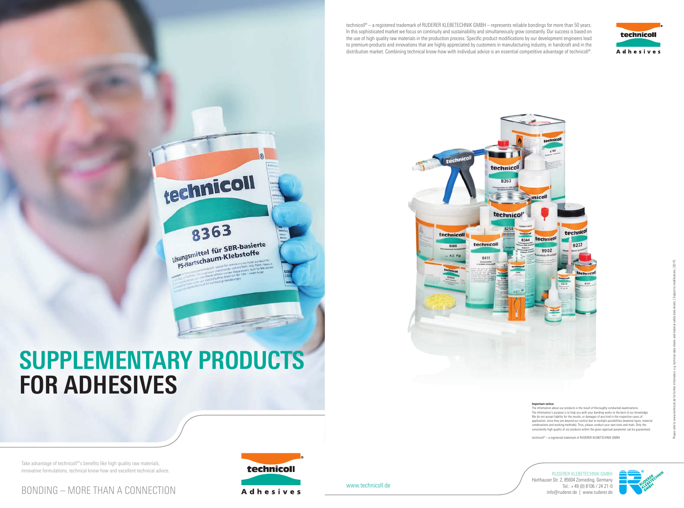## **SUPPLEMENTARY PRODUCTS FOR ADHESIVES**

technicoll

8363

Lösungsmittel für SBR-basierte

www.technicoll.de



RUDERER KLEBETECHNIK GMBH Harthauser Str. 2, 85604 Zorneding, Germany







Take advantage of technicoll®'s benefits like high quality raw materials, innovative formulations, technical know-how and excellent technical advice.

technicoll® – a registered trademark of RUDERER KLEBETECHNIK GMBH – represents reliable bondings for more than 50 years. In this sophisticated market we focus on continuity and sustainability and simultaneously grow constantly. Our success is based on the use of high quality raw materials in the production process. Specific product modifications by our development engineers lead to premium-products and innovations that are highly appreciated by customers in manufacturing industry, in handcraft and in the distribution market. Combining technical know-how with individual advice is an essential competitive advantage of technicoll®.



**Important notice:** The information about our products is the result of thoroughly conducted examinations. The information's purpose is to help you with your bonding works to the best of our knowledge. We do not accept liability for the results, or damages of any kind in the respective cases of application, since they are beyond our control due to multiple possibilities (material types, material combinations and working methods). Thus, please conduct your own tests and trials. Only the consistently high quality of our products within the given approval parameter can be guaranteed.

technicoll® – a registered trademark of RUDERER KLEBETECHNIK GMBH